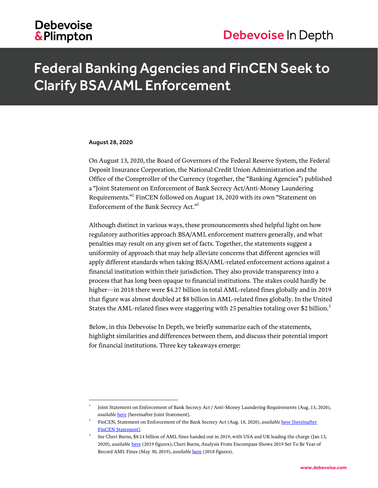### **Debevoise** & Plimpton

## Federal Banking Agencies and FinCEN Seek to Clarify BSA/AML Enforcement

#### August 28, 2020

l

On August 13, 2020, the Board of Governors of the Federal Reserve System, the Federal Deposit Insurance Corporation, the National Credit Union Administration and the Office of the Comptroller of the Currency (together, the "Banking Agencies") published a "Joint Statement on Enforcement of Bank Secrecy Act/Anti-Money Laundering Requirements." 1 FinCEN followed on August 18, 2020 with its own "Statement on Enforcement of the Bank Secrecy Act."<sup>2</sup>

Although distinct in various ways, these pronouncements shed helpful light on how regulatory authorities approach BSA/AML enforcement matters generally, and what penalties may result on any given set of facts. Together, the statements suggest a uniformity of approach that may help alleviate concerns that different agencies will apply different standards when taking BSA/AML-related enforcement actions against a financial institution within their jurisdiction. They also provide transparency into a process that has long been opaque to financial institutions. The stakes could hardly be higher—in 2018 there were \$4.27 billion in total AML-related fines globally and in 2019 that figure was almost doubled at \$8 billion in AML-related fines globally. In the United States the AML-related fines were staggering with 25 penalties totaling over \$2 billion.<sup>3</sup>

Below, in this Debevoise In Depth, we briefly summarize each of the statements, highlight similarities and differences between them, and discuss their potential import for financial institutions. Three key takeaways emerge:

<sup>1</sup> Joint Statement on Enforcement of Bank Secrecy Act / Anti-Money Laundering Requirements (Aug. 13, 2020), *available* **[here](https://www.occ.gov/news-issuances/news-releases/2020/nr-ia-2020-105a.pdf)** [hereinafter Joint Statement].

<sup>2</sup> FinCEN, Statement on Enforcement of the Bank Secrecy Act (Aug. 18, 2020), *available* [here](https://www.fincen.gov/sites/default/files/shared/FinCEN%20Enforcement%20Statement_FINAL%20508.pdf) [hereinafter FinCEN Statement].

<sup>3</sup> *See* Cheri Burns, \$8.14 billion of AML fines handed out in 2019, with USA and UK leading the charge (Jan 13, 2020), *available* [here](https://www.encompasscorporation.com/blog/encompass-aml-penalty-analysis-2019/) (2019 figures); Cheri Burns, Analysis From Encompass Shows 2019 Set To Be Year of Record AML Fines (May 30, 2019), *available* [here](https://www.encompasscorporation.com/blog/analysis-from-encompass-shows-2019-set-to-be-year-of-record-aml-fines/) (2018 figures).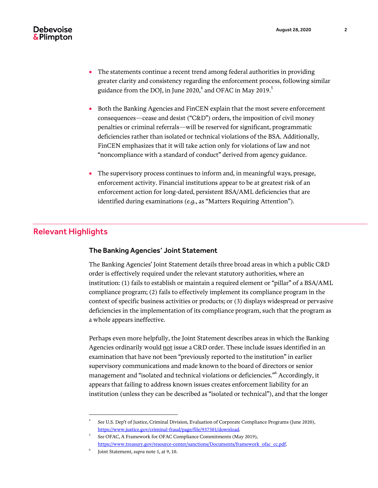- The statements continue a recent trend among federal authorities in providing greater clarity and consistency regarding the enforcement process, following similar guidance from the DOJ, in June 2020, $^4$  and OFAC in May 2019. $^5$
- Both the Banking Agencies and FinCEN explain that the most severe enforcement consequences—cease and desist ("C&D") orders, the imposition of civil money penalties or criminal referrals—will be reserved for significant, programmatic deficiencies rather than isolated or technical violations of the BSA. Additionally, FinCEN emphasizes that it will take action only for violations of law and not "noncompliance with a standard of conduct" derived from agency guidance.
- The supervisory process continues to inform and, in meaningful ways, presage, enforcement activity. Financial institutions appear to be at greatest risk of an enforcement action for long-dated, persistent BSA/AML deficiencies that are identified during examinations (*e.g.*, as "Matters Requiring Attention").

#### Relevant Highlights

#### The Banking Agencies' Joint Statement

The Banking Agencies' Joint Statement details three broad areas in which a public C&D order is effectively required under the relevant statutory authorities, where an institution: (1) fails to establish or maintain a required element or "pillar" of a BSA/AML compliance program; (2) fails to effectively implement its compliance program in the context of specific business activities or products; or (3) displays widespread or pervasive deficiencies in the implementation of its compliance program, such that the program as a whole appears ineffective.

Perhaps even more helpfully, the Joint Statement describes areas in which the Banking Agencies ordinarily would not issue a C&D order. These include issues identified in an examination that have not been "previously reported to the institution" in earlier supervisory communications and made known to the board of directors or senior management and "isolated and technical violations or deficiencies." <sup>6</sup> Accordingly, it appears that failing to address known issues creates enforcement liability for an institution (unless they can be described as "isolated or technical"), and that the longer

l

<sup>4</sup> *See* U.S. Dep't of Justice, Criminal Division, Evaluation of Corporate Compliance Programs (June 2020), [https://www.justice.gov/criminal-fraud/page/file/937501/download.](https://www.justice.gov/criminal-fraud/page/file/937501/download)

<sup>5</sup> *See* OFAC, A Framework for OFAC Compliance Commitments (May 2019), [https://www.treasury.gov/resource-center/sanctions/Documents/framework\\_ofac\\_cc.pdf.](https://www.treasury.gov/resource-center/sanctions/Documents/framework_ofac_cc.pdf)

<sup>6</sup> Joint Statement, *supra* note 1, at 9, 10.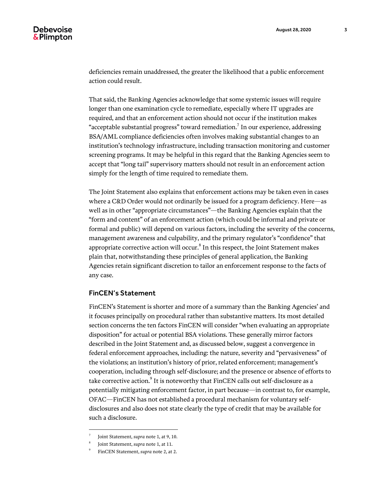deficiencies remain unaddressed, the greater the likelihood that a public enforcement action could result.

That said, the Banking Agencies acknowledge that some systemic issues will require longer than one examination cycle to remediate, especially where IT upgrades are required, and that an enforcement action should not occur if the institution makes "acceptable substantial progress" toward remediation. $^7$  In our experience, addressing BSA/AML compliance deficiencies often involves making substantial changes to an institution's technology infrastructure, including transaction monitoring and customer screening programs. It may be helpful in this regard that the Banking Agencies seem to accept that "long tail" supervisory matters should not result in an enforcement action simply for the length of time required to remediate them.

The Joint Statement also explains that enforcement actions may be taken even in cases where a C&D Order would not ordinarily be issued for a program deficiency. Here—as well as in other "appropriate circumstances"—the Banking Agencies explain that the "form and content" of an enforcement action (which could be informal and private or formal and public) will depend on various factors, including the severity of the concerns, management awareness and culpability, and the primary regulator's "confidence" that appropriate corrective action will occur. $^8$  In this respect, the Joint Statement makes plain that, notwithstanding these principles of general application, the Banking Agencies retain significant discretion to tailor an enforcement response to the facts of any case.

#### FinCEN's Statement

FinCEN's Statement is shorter and more of a summary than the Banking Agencies' and it focuses principally on procedural rather than substantive matters. Its most detailed section concerns the ten factors FinCEN will consider "when evaluating an appropriate disposition" for actual or potential BSA violations. These generally mirror factors described in the Joint Statement and, as discussed below, suggest a convergence in federal enforcement approaches, including: the nature, severity and "pervasiveness" of the violations; an institution's history of prior, related enforcement; management's cooperation, including through self-disclosure; and the presence or absence of efforts to take corrective action. $^9$  It is noteworthy that FinCEN calls out self-disclosure as a potentially mitigating enforcement factor, in part because—in contrast to, for example, OFAC—FinCEN has not established a procedural mechanism for voluntary selfdisclosures and also does not state clearly the type of credit that may be available for such a disclosure.

 $\overline{a}$ 

<sup>7</sup> Joint Statement, *supra* note 1, at 9, 10.

<sup>8</sup> Joint Statement, *supra* note 1, at 11.

<sup>9</sup> FinCEN Statement, *supra* note 2, at 2.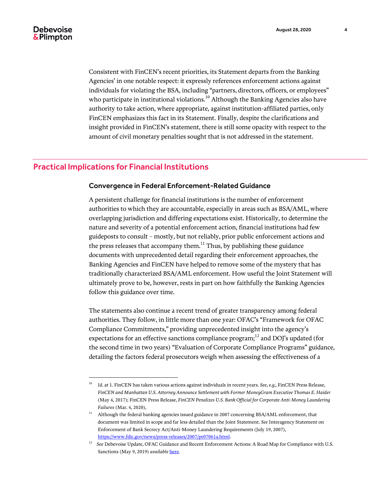Consistent with FinCEN's recent priorities, its Statement departs from the Banking Agencies' in one notable respect: it expressly references enforcement actions against individuals for violating the BSA, including "partners, directors, officers, or employees" who participate in institutional violations.<sup>10</sup> Although the Banking Agencies also have authority to take action, where appropriate, against institution-affiliated parties, only FinCEN emphasizes this fact in its Statement. Finally, despite the clarifications and insight provided in FinCEN's statement, there is still some opacity with respect to the amount of civil monetary penalties sought that is not addressed in the statement.

#### Practical Implications for Financial Institutions

l

#### Convergence in Federal Enforcement-Related Guidance

A persistent challenge for financial institutions is the number of enforcement authorities to which they are accountable, especially in areas such as BSA/AML, where overlapping jurisdiction and differing expectations exist. Historically, to determine the nature and severity of a potential enforcement action, financial institutions had few guideposts to consult – mostly, but not reliably, prior public enforcement actions and the press releases that accompany them. $^{11}$  Thus, by publishing these guidance documents with unprecedented detail regarding their enforcement approaches, the Banking Agencies and FinCEN have helped to remove some of the mystery that has traditionally characterized BSA/AML enforcement. How useful the Joint Statement will ultimately prove to be, however, rests in part on how faithfully the Banking Agencies follow this guidance over time.

The statements also continue a recent trend of greater transparency among federal authorities. They follow, in little more than one year: OFAC's "Framework for OFAC Compliance Commitments," providing unprecedented insight into the agency's expectations for an effective sanctions compliance program;<sup>12</sup> and DOJ's updated (for the second time in two years) "Evaluation of Corporate Compliance Programs" guidance, detailing the factors federal prosecutors weigh when assessing the effectiveness of a

<sup>10</sup> *Id.* at 1. FinCEN has taken various actions against individuals in recent years. *See, e.g.,* FinCEN Press Release, *FinCEN and Manhattan U.S. Attorney Announce Settlement with Former MoneyGram Executive Thomas E. Haider* (May 4, 2017); FinCEN Press Release, *FinCEN Penalizes U.S. Bank Official for Corporate Anti-Money Laundering Failures* (Mar. 4, 2020),

<sup>11</sup> Although the federal banking agencies issued guidance in 2007 concerning BSA/AML enforcement, that document was limited in scope and far less detailed than the Joint Statement. *See* Interagency Statement on Enforcement of Bank Secrecy Act/Anti-Money Laundering Requirements (July 19, 2007), [https://www.fdic.gov/news/press-releases/2007/pr07061a.html.](https://www.fdic.gov/news/press-releases/2007/pr07061a.html)

<sup>&</sup>lt;sup>12</sup> See Debevoise Update, OFAC Guidance and Recent Enforcement Actions: A Road Map for Compliance with U.S. Sanctions (May 9, 2019) *available* [here.](https://www.debevoise.com/-/media/files/insights/publications/2019/05/20190509_ofac_guidance_and_recent_enforcement.pdf)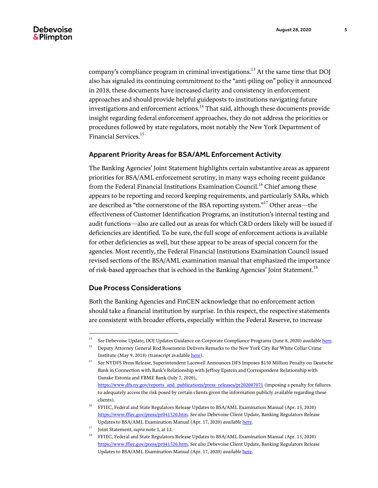company's compliance program in criminal investigations.<sup>13</sup> At the same time that DOI also has signaled its continuing commitment to the "anti-piling on" policy it announced in 2018, these documents have increased clarity and consistency in enforcement approaches and should provide helpful guideposts to institutions navigating future investigations and enforcement actions.<sup>14</sup> That said, although these documents provide insight regarding federal enforcement approaches, they do not address the priorities or procedures followed by state regulators, most notably the New York Department of Financial Services.<sup>15</sup>

#### Apparent Priority Areas for BSA/AML Enforcement Activity

The Banking Agencies' Joint Statement highlights certain substantive areas as apparent priorities for BSA/AML enforcement scrutiny, in many ways echoing recent guidance from the Federal Financial Institutions Examination Council.<sup>16</sup> Chief among these appears to be reporting and record keeping requirements, and particularly SARs, which are described as "the cornerstone of the BSA reporting system." $^{17}$  Other areas—the effectiveness of Customer Identification Programs, an institution's internal testing and audit functions—also are called out as areas for which C&D orders likely will be issued if deficiencies are identified. To be sure, the full scope of enforcement actions is available for other deficiencies as well, but these appear to be areas of special concern for the agencies. Most recently, the Federal Financial Institutions Examination Council issued revised sections of the BSA/AML examination manual that emphasized the importance of risk-based approaches that is echoed in the Banking Agencies' Joint Statement.<sup>18</sup>

#### Due Process Considerations

 $\overline{a}$ 

Both the Banking Agencies and FinCEN acknowledge that no enforcement action should take a financial institution by surprise. In this respect, the respective statements are consistent with broader efforts, especially within the Federal Reserve, to increase

<sup>13</sup> *See* Debevoise Update, DOJ Updates Guidance on Corporate Compliance Programs (June 8, 2020) *available* [here.](https://www.debevoise.com/-/media/files/insights/publications/2020/06/20200608-doj-updates-guidance.pdf)

<sup>&</sup>lt;sup>14</sup> Deputy Attorney General Rod Rosenstein Delivers Remarks to the New York City Bar White Collar Crime Institute (May 9, 2018) (transcript availabl[e here\)](https://www.justice.gov/opa/speech/deputy-attorney-general-rod-rosenstein-delivers-remarks-new-york-city-bar-white-collar).

<sup>15</sup> *See* NYDFS Press Release, Superintendent Lacewell Announces DFS Imposes \$150 Million Penalty on Deutsche Bank in Connection with Bank's Relationship with Jeffrey Epstein and Correspondent Relationship with Danske Estonia and FBME Bank (July 7, 2020), [https://www.dfs.ny.gov/reports\\_and\\_publications/press\\_releases/pr202007071](https://www.dfs.ny.gov/reports_and_publications/press_releases/pr202007071) (imposing a penalty for failures to adequately access the risk posed by certain clients given the information publicly available regarding these clients).

 $^{16}$  FFIEC, Federal and State Regulators Release Updates to BSA/AML Examination Manual (Apr. 15, 2020) [https://www.ffiec.gov/press/pr041520.htm.](https://www.ffiec.gov/press/pr041520.htm) *See also* Debevoise Client Update, Banking Regulators Release Updates to BSA/AML Examination Manual (Apr. 17, 2020) *available* [here.](https://www.debevoise.com/-/media/files/insights/publications/2020/04/20200417-banking-regulators-release-update-to-bsa.pdf)

<sup>&</sup>lt;sup>17</sup> Joint Statement, *supra* note 1, at 12.

<sup>18</sup> FFIEC, Federal and State Regulators Release Updates to BSA/AML Examination Manual (Apr. 15, 2020) [https://www.ffiec.gov/press/pr041520.htm.](https://www.ffiec.gov/press/pr041520.htm) *See also* Debevoise Client Update, Banking Regulators Release Updates to BSA/AML Examination Manual (Apr. 17, 2020) *available* [here.](https://www.debevoise.com/-/media/files/insights/publications/2020/04/20200417-banking-regulators-release-update-to-bsa.pdf)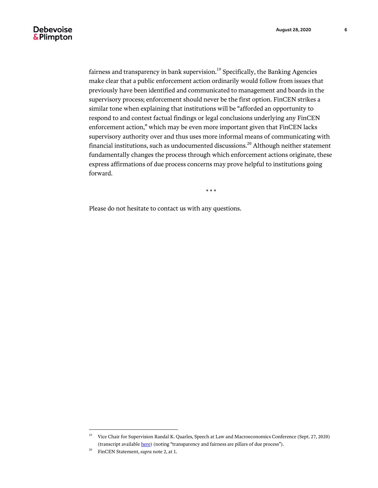#### **Debevoise** & Plimpton

fairness and transparency in bank supervision.<sup>19</sup> Specifically, the Banking Agencies make clear that a public enforcement action ordinarily would follow from issues that previously have been identified and communicated to management and boards in the supervisory process; enforcement should never be the first option. FinCEN strikes a similar tone when explaining that institutions will be "afforded an opportunity to respond to and contest factual findings or legal conclusions underlying any FinCEN enforcement action," which may be even more important given that FinCEN lacks supervisory authority over and thus uses more informal means of communicating with financial institutions, such as undocumented discussions.<sup>20</sup> Although neither statement fundamentally changes the process through which enforcement actions originate, these express affirmations of due process concerns may prove helpful to institutions going forward.

\* \* \*

Please do not hesitate to contact us with any questions.

 $\overline{a}$ 

<sup>&</sup>lt;sup>19</sup> Vice Chair for Supervision Randal K. Quarles, Speech at Law and Macroeconomics Conference (Sept. 27, 2020) (transcript available *here*) (noting "transparency and fairness are pillars of due process").

<sup>20</sup> FinCEN Statement, *supra* note 2, at 1.